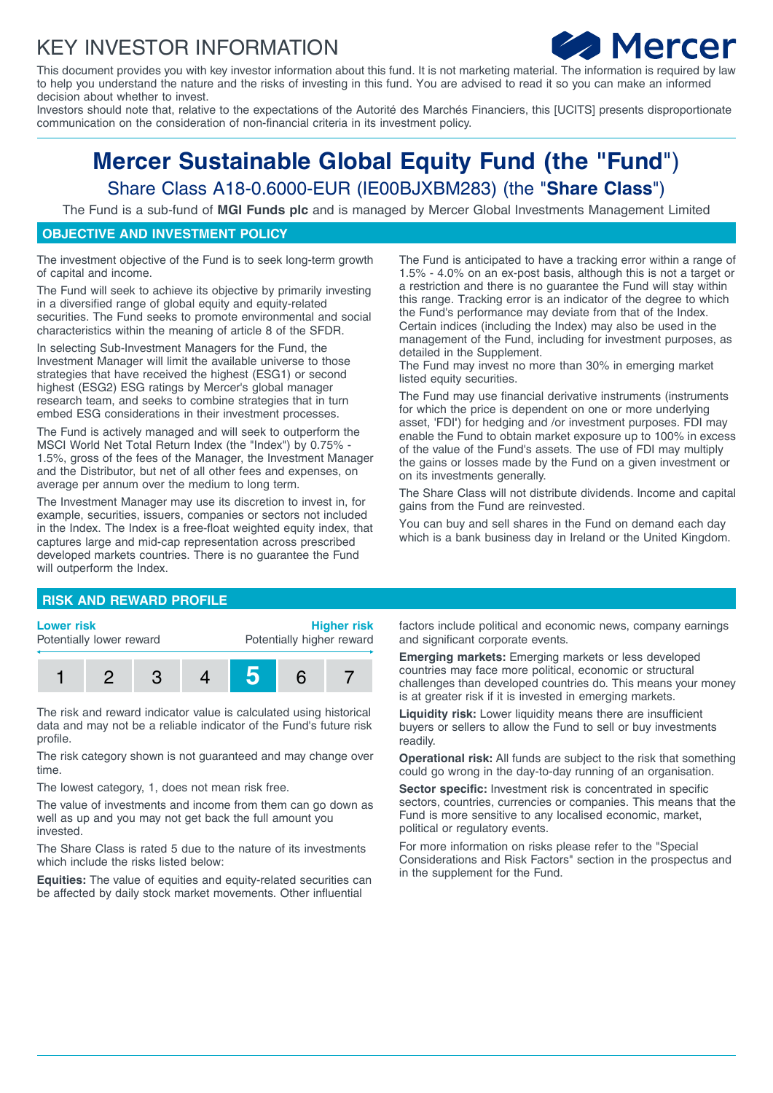## KEY INVESTOR INFORMATION



This document provides you with key investor information about this fund. It is not marketing material. The information is required by law to help you understand the nature and the risks of investing in this fund. You are advised to read it so you can make an informed decision about whether to invest.

Investors should note that, relative to the expectations of the Autorité des Marchés Financiers, this [UCITS] presents disproportionate communication on the consideration of non-financial criteria in its investment policy.

# **Mercer Sustainable Global Equity Fund (the "Fund**") Share Class A18-0.6000-EUR (IE00BJXBM283) (the "**Share Class**")

The Fund is a sub-fund of **MGI Funds plc** and is managed by Mercer Global Investments Management Limited

### **OBJECTIVE AND INVESTMENT POLICY**

The investment objective of the Fund is to seek long-term growth of capital and income.

The Fund will seek to achieve its objective by primarily investing in a diversified range of global equity and equity-related securities. The Fund seeks to promote environmental and social characteristics within the meaning of article 8 of the SFDR.

In selecting Sub-Investment Managers for the Fund, the Investment Manager will limit the available universe to those strategies that have received the highest (ESG1) or second highest (ESG2) ESG ratings by Mercer's global manager research team, and seeks to combine strategies that in turn embed ESG considerations in their investment processes.

The Fund is actively managed and will seek to outperform the MSCI World Net Total Return Index (the "Index") by 0.75% - 1.5%, gross of the fees of the Manager, the Investment Manager and the Distributor, but net of all other fees and expenses, on average per annum over the medium to long term.

The Investment Manager may use its discretion to invest in, for example, securities, issuers, companies or sectors not included in the Index. The Index is a free-float weighted equity index, that captures large and mid-cap representation across prescribed developed markets countries. There is no guarantee the Fund will outperform the Index.

The Fund is anticipated to have a tracking error within a range of 1.5% - 4.0% on an ex-post basis, although this is not a target or a restriction and there is no guarantee the Fund will stay within this range. Tracking error is an indicator of the degree to which the Fund's performance may deviate from that of the Index. Certain indices (including the Index) may also be used in the management of the Fund, including for investment purposes, as detailed in the Supplement.

The Fund may invest no more than 30% in emerging market listed equity securities.

The Fund may use financial derivative instruments (instruments for which the price is dependent on one or more underlying asset, 'FDI**'**) for hedging and /or investment purposes. FDI may enable the Fund to obtain market exposure up to 100% in excess of the value of the Fund's assets. The use of FDI may multiply the gains or losses made by the Fund on a given investment or on its investments generally.

The Share Class will not distribute dividends. Income and capital gains from the Fund are reinvested.

You can buy and sell shares in the Fund on demand each day which is a bank business day in Ireland or the United Kingdom.

#### **RISK AND REWARD PROFILE**

#### **Lower risk**

Potentially lower reward

**Higher risk** Potentially higher reward



The risk and reward indicator value is calculated using historical data and may not be a reliable indicator of the Fund's future risk profile.

The risk category shown is not guaranteed and may change over time.

The lowest category, 1, does not mean risk free.

The value of investments and income from them can go down as well as up and you may not get back the full amount you invested.

The Share Class is rated 5 due to the nature of its investments which include the risks listed below:

**Equities:** The value of equities and equity-related securities can be affected by daily stock market movements. Other influential

factors include political and economic news, company earnings and significant corporate events.

**Emerging markets:** Emerging markets or less developed countries may face more political, economic or structural challenges than developed countries do. This means your money is at greater risk if it is invested in emerging markets.

**Liquidity risk:** Lower liquidity means there are insufficient buyers or sellers to allow the Fund to sell or buy investments readily.

**Operational risk:** All funds are subject to the risk that something could go wrong in the day-to-day running of an organisation.

**Sector specific:** Investment risk is concentrated in specific sectors, countries, currencies or companies. This means that the Fund is more sensitive to any localised economic, market, political or regulatory events.

For more information on risks please refer to the "Special Considerations and Risk Factors" section in the prospectus and in the supplement for the Fund.